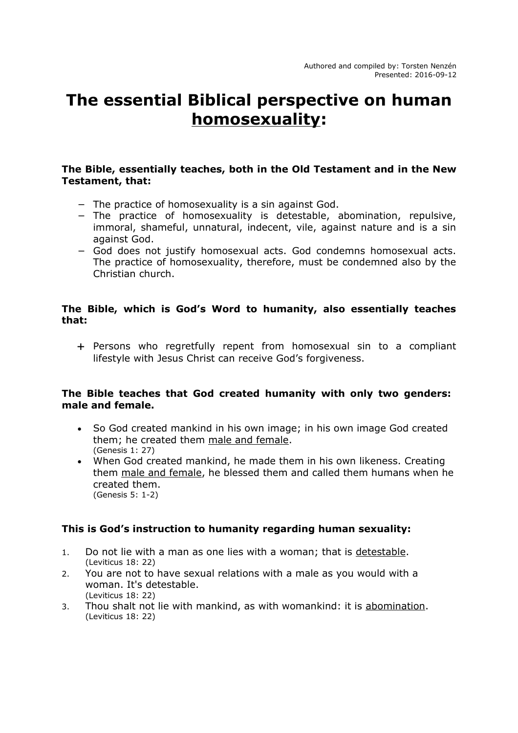# **The essential Biblical perspective on human homosexuality:**

#### **The Bible, essentially teaches, both in the Old Testament and in the New Testament, that:**

- − The practice of homosexuality is a sin against God.
- − The practice of homosexuality is detestable, abomination, repulsive, immoral, shameful, unnatural, indecent, vile, against nature and is a sin against God.
- − God does not justify homosexual acts. God condemns homosexual acts. The practice of homosexuality, therefore, must be condemned also by the Christian church.

## **The Bible, which is God's Word to humanity, also essentially teaches that:**

 Persons who regretfully repent from homosexual sin to a compliant lifestyle with Jesus Christ can receive God's forgiveness.

## **The Bible teaches that God created humanity with only two genders: male and female.**

- So God created mankind in his own image; in his own image God created them; he created them male and female. (Genesis 1: 27)
- When God created mankind, he made them in his own likeness. Creating them male and female, he blessed them and called them humans when he created them. (Genesis 5: 1-2)

## **This is God's instruction to humanity regarding human sexuality:**

- 1. Do not lie with a man as one lies with a woman; that is detestable. (Leviticus 18: 22)
- 2. You are not to have sexual relations with a male as you would with a woman. It's detestable. (Leviticus 18: 22)
- 3. Thou shalt not lie with mankind, as with womankind: it is abomination. (Leviticus 18: 22)